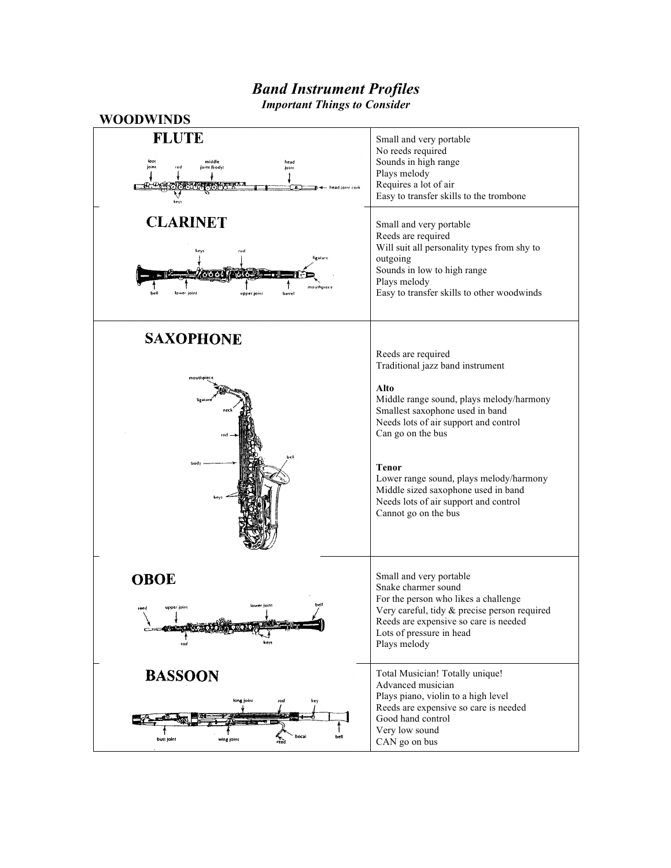